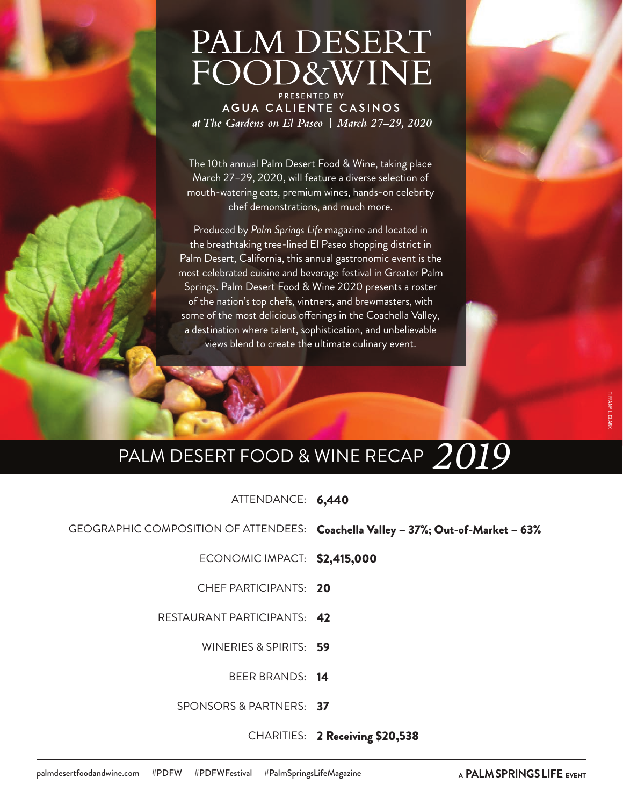# PALM DESERT FOOD&WINE

PRESENTED BY AGUA CALIENTE CASINOS at The Gardens on El Paseo | March 27-29, 2020

The 10th annual Palm Desert Food & Wine, taking place March 27–29, 2020, will feature a diverse selection of mouth-watering eats, premium wines, hands-on celebrity chef demonstrations, and much more.

Produced by *Palm Springs Life* magazine and located in the breathtaking tree-lined El Paseo shopping district in Palm Desert, California, this annual gastronomic event is the most celebrated cuisine and beverage festival in Greater Palm Springs. Palm Desert Food & Wine 2020 presents a roster of the nation's top chefs, vintners, and brewmasters, with some of the most delicious offerings in the Coachella Valley, a destination where talent, sophistication, and unbelievable views blend to create the ultimate culinary event.

## PALM DESERT FOOD & WINE RECAP *2019*

ATTENDANCE: 6,440

GEOGRAPHIC COMPOSITION OF ATTENDEES: Coachella Valley – 37%; Out-of-Market – 63%

ECONOMIC IMPACT: \$2,415,000

CHEF PARTICIPANTS: 20

RESTAURANT PARTICIPANTS: 42

WINERIES & SPIRITS: 59

BEER BRANDS: **14** 

SPONSORS & PARTNERS: **37** 

CHARITIES: 2 Receiving \$20,538